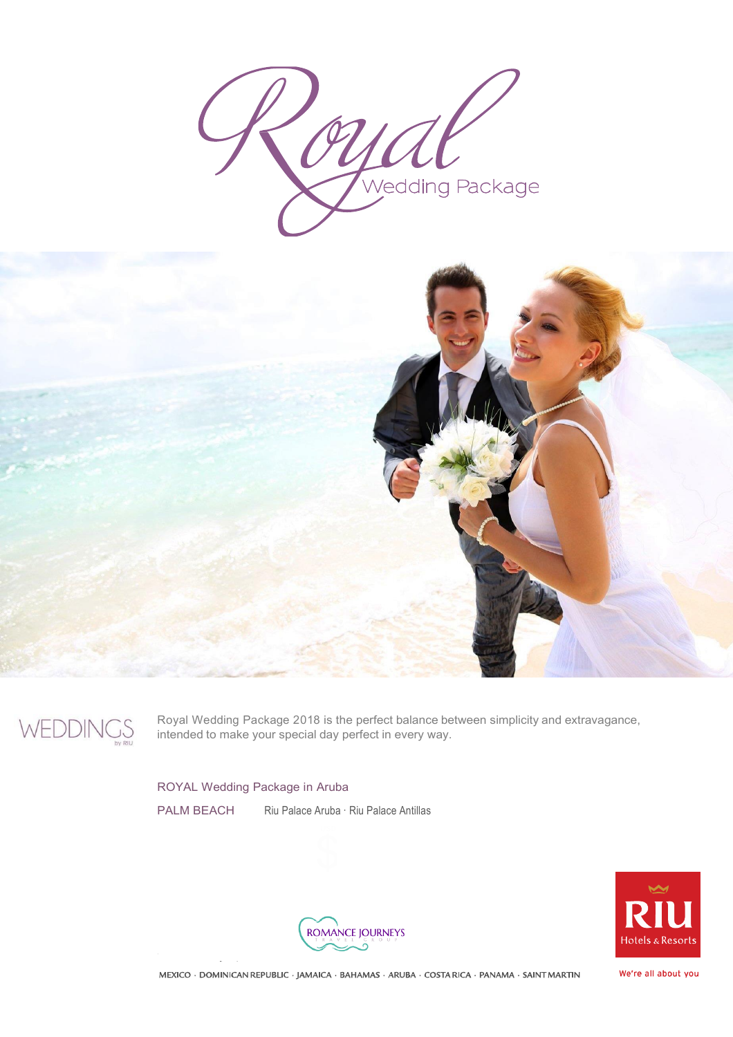Wedding Package





Royal Wedding Package 2018 is the perfect balance between simplicity and extravagance, intended to make your special day perfect in every way.

ROYAL Wedding Package in Aruba

PALM BEACH Riu Palace Aruba · Riu Palace Antillas





MEXICO · DOMINICAN REPUBLIC · JAMAICA · BAHAMAS · ARUBA · COSTA RICA · PANAMA · SAINT MARTIN

We're all about you